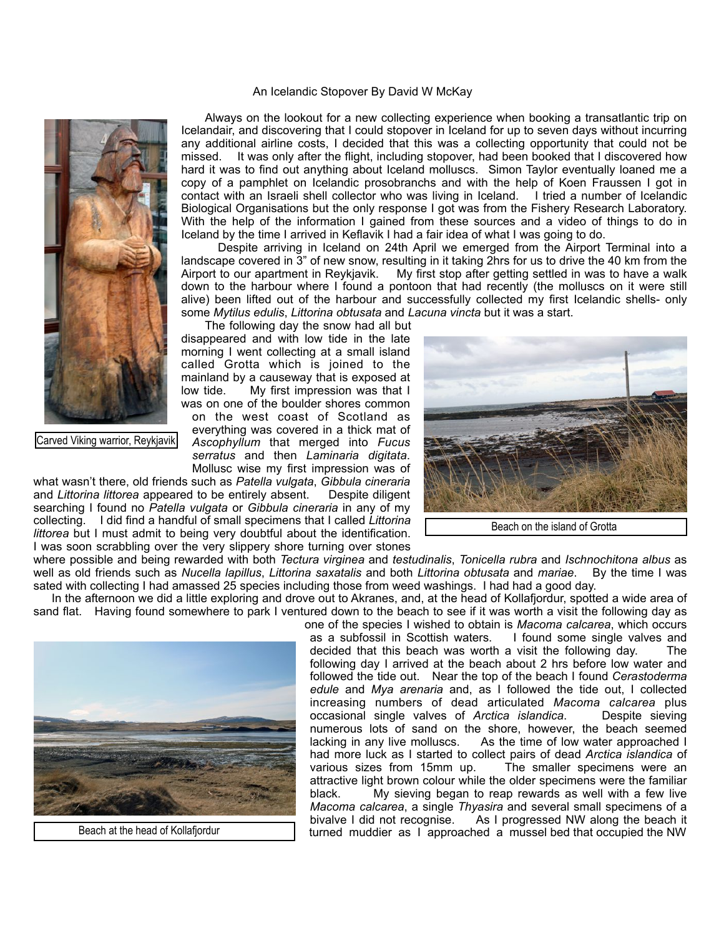## An Icelandic Stopover By David W McKay



Carved Viking warrior, Reykjavik

 Always on the lookout for a new collecting experience when booking a transatlantic trip on Icelandair, and discovering that I could stopover in Iceland for up to seven days without incurring any additional airline costs, I decided that this was a collecting opportunity that could not be missed. It was only after the flight, including stopover, had been booked that I discovered how hard it was to find out anything about Iceland molluscs. Simon Taylor eventually loaned me a copy of a pamphlet on Icelandic prosobranchs and with the help of Koen Fraussen I got in contact with an Israeli shell collector who was living in Iceland. I tried a number of Icelandic Biological Organisations but the only response I got was from the Fishery Research Laboratory. With the help of the information I gained from these sources and a video of things to do in Iceland by the time I arrived in Keflavik I had a fair idea of what I was going to do.

 Despite arriving in Iceland on 24th April we emerged from the Airport Terminal into a landscape covered in 3" of new snow, resulting in it taking 2hrs for us to drive the 40 km from the Airport to our apartment in Reykjavik. My first stop after getting settled in was to have a walk down to the harbour where I found a pontoon that had recently (the molluscs on it were still alive) been lifted out of the harbour and successfully collected my first Icelandic shells- only some *Mytilus edulis*, *Littorina obtusata* and *Lacuna vincta* but it was a start.

 The following day the snow had all but disappeared and with low tide in the late morning I went collecting at a small island called Grotta which is joined to the mainland by a causeway that is exposed at low tide. My first impression was that I was on one of the boulder shores common on the west coast of Scotland as everything was covered in a thick mat of *Ascophyllum* that merged into *Fucus serratus* and then *Laminaria digitata*. Mollusc wise my first impression was of

what wasn't there, old friends such as *Patella vulgata*, *Gibbula cineraria* and *Littorina littorea* appeared to be entirely absent. Despite diligent searching I found no *Patella vulgata* or *Gibbula cineraria* in any of my collecting. I did find a handful of small specimens that I called *Littorina littorea* but I must admit to being very doubtful about the identification. I was soon scrabbling over the very slippery shore turning over stones



Beach on the island of Grotta

where possible and being rewarded with both *Tectura virginea* and *testudinalis*, *Tonicella rubra* and *Ischnochitona albus* as well as old friends such as *Nucella lapillus*, *Littorina saxatalis* and both *Littorina obtusata* and *mariae*. By the time I was sated with collecting I had amassed 25 species including those from weed washings. I had had a good day.

 In the afternoon we did a little exploring and drove out to Akranes, and, at the head of Kollafjordur, spotted a wide area of sand flat. Having found somewhere to park I ventured down to the beach to see if it was worth a visit the following day as



Beach at the head of Kollafjordur

one of the species I wished to obtain is *Macoma calcarea*, which occurs as a subfossil in Scottish waters. I found some single valves and decided that this beach was worth a visit the following day. The following day I arrived at the beach about 2 hrs before low water and followed the tide out. Near the top of the beach I found *Cerastoderma edule* and *Mya arenaria* and, as I followed the tide out, I collected increasing numbers of dead articulated *Macoma calcarea* plus occasional single valves of *Arctica islandica*. Despite sieving numerous lots of sand on the shore, however, the beach seemed lacking in any live molluscs. As the time of low water approached I As the time of low water approached I had more luck as I started to collect pairs of dead *Arctica islandica* of various sizes from 15mm up. The smaller specimens were an attractive light brown colour while the older specimens were the familiar black. My sieving began to reap rewards as well with a few live *Macoma calcarea*, a single *Thyasira* and several small specimens of a bivalve I did not recognise. As I progressed NW along the beach it turned muddier as I approached a mussel bed that occupied the NW